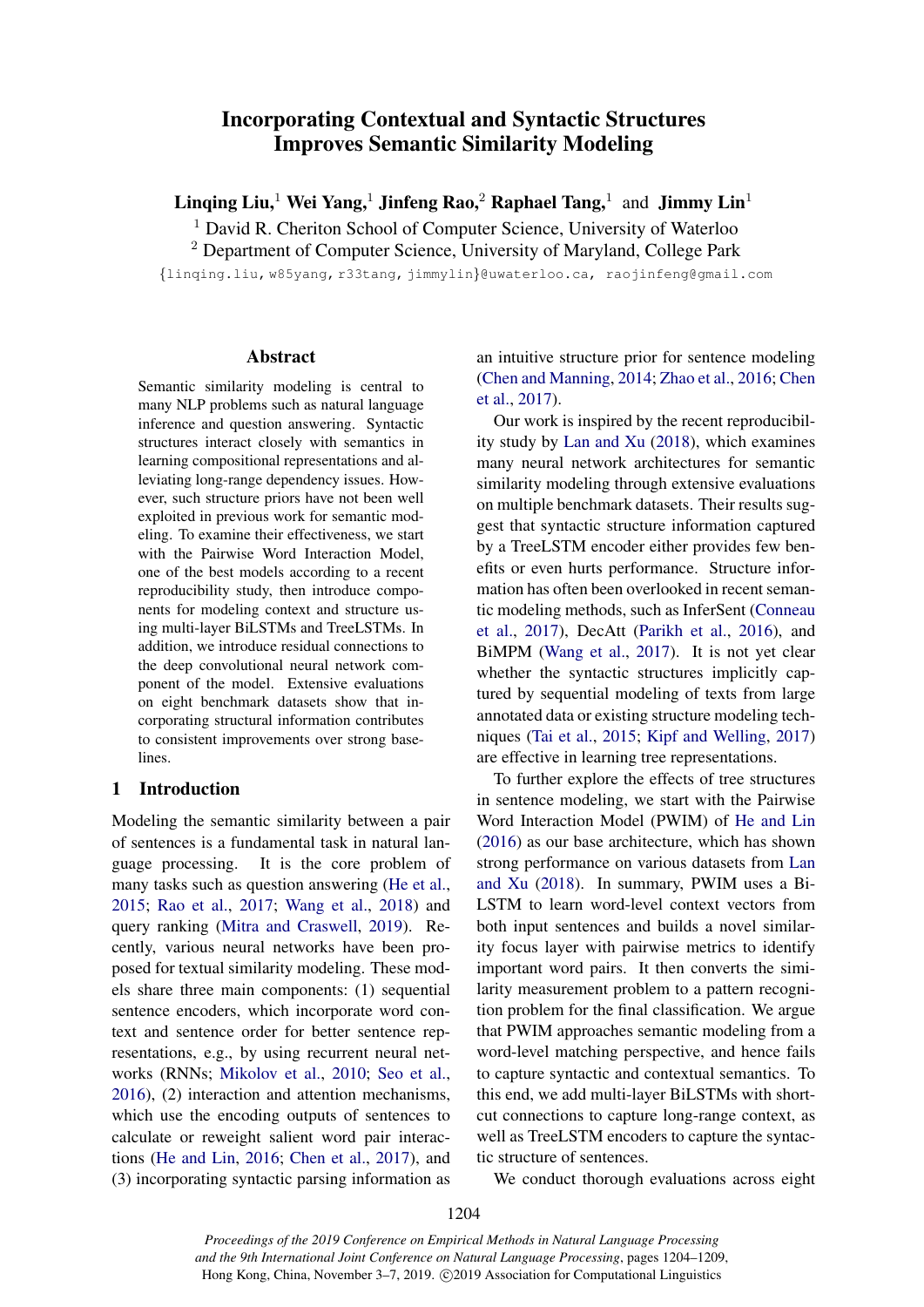# Incorporating Contextual and Syntactic Structures Improves Semantic Similarity Modeling

Linqing Liu,<sup>1</sup> Wei Yang,<sup>1</sup> Jinfeng Rao,<sup>2</sup> Raphael Tang,<sup>1</sup> and Jimmy Lin<sup>1</sup>

<sup>1</sup> David R. Cheriton School of Computer Science, University of Waterloo

<sup>2</sup> Department of Computer Science, University of Maryland, College Park

{linqing.liu, w85yang, r33tang, jimmylin}@uwaterloo.ca, raojinfeng@gmail.com

#### Abstract

Semantic similarity modeling is central to many NLP problems such as natural language inference and question answering. Syntactic structures interact closely with semantics in learning compositional representations and alleviating long-range dependency issues. However, such structure priors have not been well exploited in previous work for semantic modeling. To examine their effectiveness, we start with the Pairwise Word Interaction Model, one of the best models according to a recent reproducibility study, then introduce components for modeling context and structure using multi-layer BiLSTMs and TreeLSTMs. In addition, we introduce residual connections to the deep convolutional neural network component of the model. Extensive evaluations on eight benchmark datasets show that incorporating structural information contributes to consistent improvements over strong baselines.

## 1 Introduction

Modeling the semantic similarity between a pair of sentences is a fundamental task in natural language processing. It is the core problem of many tasks such as question answering [\(He et al.,](#page-4-0) [2015;](#page-4-0) [Rao et al.,](#page-5-0) [2017;](#page-5-0) [Wang et al.,](#page-5-1) [2018\)](#page-5-1) and query ranking [\(Mitra and Craswell,](#page-5-2) [2019\)](#page-5-2). Recently, various neural networks have been proposed for textual similarity modeling. These models share three main components: (1) sequential sentence encoders, which incorporate word context and sentence order for better sentence representations, e.g., by using recurrent neural networks (RNNs; [Mikolov et al.,](#page-5-3) [2010;](#page-5-3) [Seo et al.,](#page-5-4) [2016\)](#page-5-4), (2) interaction and attention mechanisms, which use the encoding outputs of sentences to calculate or reweight salient word pair interactions [\(He and Lin,](#page-4-1) [2016;](#page-4-1) [Chen et al.,](#page-4-2) [2017\)](#page-4-2), and (3) incorporating syntactic parsing information as an intuitive structure prior for sentence modeling [\(Chen and Manning,](#page-4-3) [2014;](#page-4-3) [Zhao et al.,](#page-5-5) [2016;](#page-5-5) [Chen](#page-4-2) [et al.,](#page-4-2) [2017\)](#page-4-2).

Our work is inspired by the recent reproducibility study by [Lan and Xu](#page-5-6) [\(2018\)](#page-5-6), which examines many neural network architectures for semantic similarity modeling through extensive evaluations on multiple benchmark datasets. Their results suggest that syntactic structure information captured by a TreeLSTM encoder either provides few benefits or even hurts performance. Structure information has often been overlooked in recent semantic modeling methods, such as InferSent [\(Conneau](#page-4-4) [et al.,](#page-4-4) [2017\)](#page-4-4), DecAtt [\(Parikh et al.,](#page-5-7) [2016\)](#page-5-7), and BiMPM [\(Wang et al.,](#page-5-8) [2017\)](#page-5-8). It is not yet clear whether the syntactic structures implicitly captured by sequential modeling of texts from large annotated data or existing structure modeling techniques [\(Tai et al.,](#page-5-9) [2015;](#page-5-9) [Kipf and Welling,](#page-4-5) [2017\)](#page-4-5) are effective in learning tree representations.

To further explore the effects of tree structures in sentence modeling, we start with the Pairwise Word Interaction Model (PWIM) of [He and Lin](#page-4-1) [\(2016\)](#page-4-1) as our base architecture, which has shown strong performance on various datasets from [Lan](#page-5-6) [and Xu](#page-5-6) [\(2018\)](#page-5-6). In summary, PWIM uses a Bi-LSTM to learn word-level context vectors from both input sentences and builds a novel similarity focus layer with pairwise metrics to identify important word pairs. It then converts the similarity measurement problem to a pattern recognition problem for the final classification. We argue that PWIM approaches semantic modeling from a word-level matching perspective, and hence fails to capture syntactic and contextual semantics. To this end, we add multi-layer BiLSTMs with shortcut connections to capture long-range context, as well as TreeLSTM encoders to capture the syntactic structure of sentences.

We conduct thorough evaluations across eight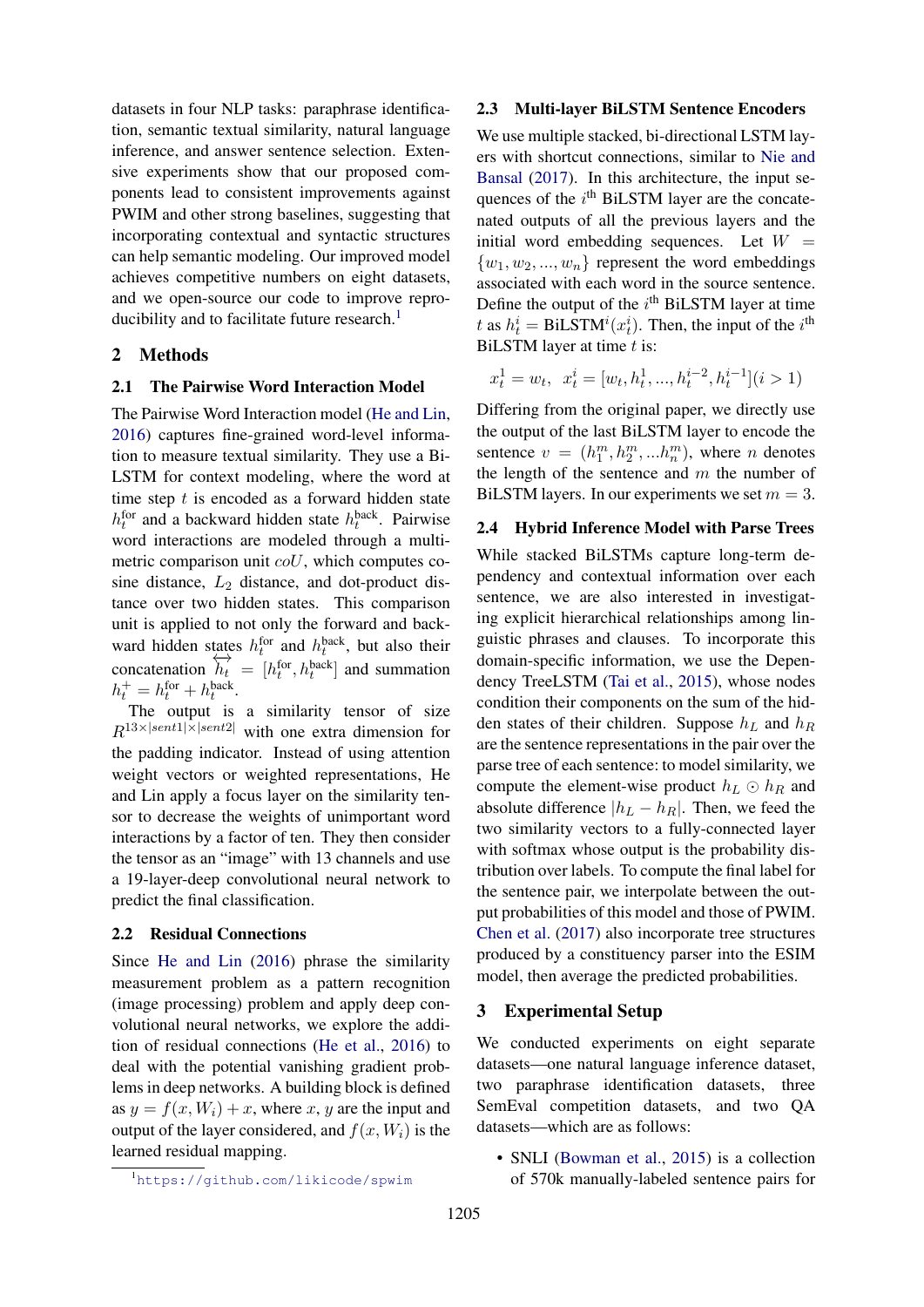datasets in four NLP tasks: paraphrase identification, semantic textual similarity, natural language inference, and answer sentence selection. Extensive experiments show that our proposed components lead to consistent improvements against PWIM and other strong baselines, suggesting that incorporating contextual and syntactic structures can help semantic modeling. Our improved model achieves competitive numbers on eight datasets, and we open-source our code to improve repro-ducibility and to facilitate future research.<sup>[1](#page-1-0)</sup>

## 2 Methods

#### 2.1 The Pairwise Word Interaction Model

The Pairwise Word Interaction model [\(He and Lin,](#page-4-1) [2016\)](#page-4-1) captures fine-grained word-level information to measure textual similarity. They use a Bi-LSTM for context modeling, where the word at time step  $t$  is encoded as a forward hidden state  $h_t^{\text{for}}$  and a backward hidden state  $h_t^{\text{back}}$ . Pairwise word interactions are modeled through a multimetric comparison unit  $coU$ , which computes cosine distance,  $L_2$  distance, and dot-product distance over two hidden states. This comparison unit is applied to not only the forward and backward hidden states  $h_t^{\text{for}}$  and  $h_t^{\text{back}}$ , but also their concatenation  $h_t = [h_t^{\text{for}}, h_t^{\text{back}}]$  and summation  $h_t^+ = h_t^{\text{for}} + h_t^{\text{back}}.$ 

The output is a similarity tensor of size  $R^{13\times|sent1|\times|sent2|}$  with one extra dimension for the padding indicator. Instead of using attention weight vectors or weighted representations, He and Lin apply a focus layer on the similarity tensor to decrease the weights of unimportant word interactions by a factor of ten. They then consider the tensor as an "image" with 13 channels and use a 19-layer-deep convolutional neural network to predict the final classification.

#### 2.2 Residual Connections

Since [He and Lin](#page-4-1) [\(2016\)](#page-4-1) phrase the similarity measurement problem as a pattern recognition (image processing) problem and apply deep convolutional neural networks, we explore the addition of residual connections [\(He et al.,](#page-4-6) [2016\)](#page-4-6) to deal with the potential vanishing gradient problems in deep networks. A building block is defined as  $y = f(x, W_i) + x$ , where x, y are the input and output of the layer considered, and  $f(x, W_i)$  is the learned residual mapping.

## 2.3 Multi-layer BiLSTM Sentence Encoders

We use multiple stacked, bi-directional LSTM layers with shortcut connections, similar to [Nie and](#page-5-10) [Bansal](#page-5-10) [\(2017\)](#page-5-10). In this architecture, the input sequences of the  $i<sup>th</sup>$  BiLSTM layer are the concatenated outputs of all the previous layers and the initial word embedding sequences. Let  $W =$  $\{w_1, w_2, ..., w_n\}$  represent the word embeddings associated with each word in the source sentence. Define the output of the  $i<sup>th</sup>$  BiLSTM layer at time t as  $h_t^i = \text{BiLSTM}^i(x_t^i)$ . Then, the input of the  $i^{\text{th}}$ BiLSTM layer at time  $t$  is:

$$
x_t^1 = w_t, \ \ x_t^i = [w_t, h_t^1, ..., h_t^{i-2}, h_t^{i-1}](i > 1)
$$

Differing from the original paper, we directly use the output of the last BiLSTM layer to encode the sentence  $v = (h_1^m, h_2^m, ... h_n^m)$ , where *n* denotes the length of the sentence and  $m$  the number of BiLSTM layers. In our experiments we set  $m = 3$ .

#### 2.4 Hybrid Inference Model with Parse Trees

While stacked BiLSTMs capture long-term dependency and contextual information over each sentence, we are also interested in investigating explicit hierarchical relationships among linguistic phrases and clauses. To incorporate this domain-specific information, we use the Dependency TreeLSTM [\(Tai et al.,](#page-5-9) [2015\)](#page-5-9), whose nodes condition their components on the sum of the hidden states of their children. Suppose  $h<sub>L</sub>$  and  $h<sub>R</sub>$ are the sentence representations in the pair over the parse tree of each sentence: to model similarity, we compute the element-wise product  $h_L \odot h_R$  and absolute difference  $|h_L - h_R|$ . Then, we feed the two similarity vectors to a fully-connected layer with softmax whose output is the probability distribution over labels. To compute the final label for the sentence pair, we interpolate between the output probabilities of this model and those of PWIM. [Chen et al.](#page-4-2) [\(2017\)](#page-4-2) also incorporate tree structures produced by a constituency parser into the ESIM model, then average the predicted probabilities.

## 3 Experimental Setup

We conducted experiments on eight separate datasets—one natural language inference dataset, two paraphrase identification datasets, three SemEval competition datasets, and two QA datasets—which are as follows:

• SNLI [\(Bowman et al.,](#page-4-7) [2015\)](#page-4-7) is a collection of 570k manually-labeled sentence pairs for

<span id="page-1-0"></span><sup>1</sup><https://github.com/likicode/spwim>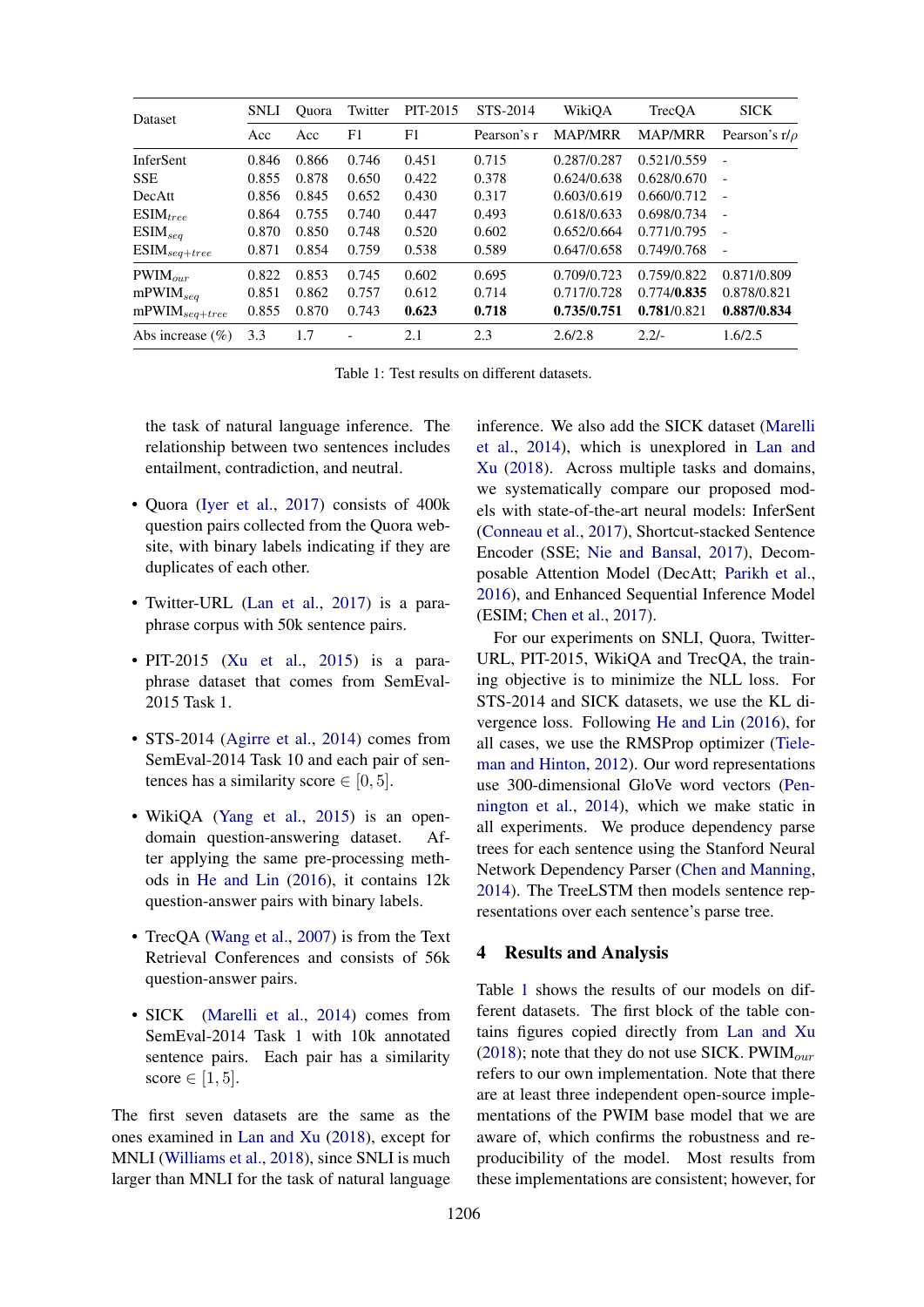<span id="page-2-0"></span>

| Dataset                 | <b>SNLI</b> | <b>Ouora</b> | Twitter | PIT-2015 | STS-2014    | WikiOA         | TrecOA         | <b>SICK</b>              |
|-------------------------|-------------|--------------|---------|----------|-------------|----------------|----------------|--------------------------|
|                         | Acc         | Acc          | F1      | F1       | Pearson's r | <b>MAP/MRR</b> | <b>MAP/MRR</b> | Pearson's $r/\rho$       |
| <b>InferSent</b>        | 0.846       | 0.866        | 0.746   | 0.451    | 0.715       | 0.287/0.287    | 0.521/0.559    | $\overline{\phantom{a}}$ |
| <b>SSE</b>              | 0.855       | 0.878        | 0.650   | 0.422    | 0.378       | 0.624/0.638    | 0.628/0.670    | $\overline{a}$           |
| DecAtt                  | 0.856       | 0.845        | 0.652   | 0.430    | 0.317       | 0.603/0.619    | 0.660/0.712    | $\overline{a}$           |
| $ESIM_{tree}$           | 0.864       | 0.755        | 0.740   | 0.447    | 0.493       | 0.618/0.633    | 0.698/0.734    | $\overline{a}$           |
| $ESIM_{seq}$            | 0.870       | 0.850        | 0.748   | 0.520    | 0.602       | 0.652/0.664    | 0.771/0.795    | $\overline{\phantom{a}}$ |
| $ESIM_{seq+tree}$       | 0.871       | 0.854        | 0.759   | 0.538    | 0.589       | 0.647/0.658    | 0.749/0.768    | $\overline{\phantom{a}}$ |
| $PWIM_{our}$            | 0.822       | 0.853        | 0.745   | 0.602    | 0.695       | 0.709/0.723    | 0.759/0.822    | 0.871/0.809              |
| $m$ PWIM <sub>seq</sub> | 0.851       | 0.862        | 0.757   | 0.612    | 0.714       | 0.717/0.728    | 0.774/0.835    | 0.878/0.821              |
| $m$ PWIM $_{seq+tree}$  | 0.855       | 0.870        | 0.743   | 0.623    | 0.718       | 0.735/0.751    | 0.781/0.821    | 0.887/0.834              |
| Abs increase $(\% )$    | 3.3         | 1.7          |         | 2.1      | 2.3         | 2.6/2.8        | $2.2/-$        | 1.6/2.5                  |

Table 1: Test results on different datasets.

the task of natural language inference. The relationship between two sentences includes entailment, contradiction, and neutral.

- Quora [\(Iyer et al.,](#page-4-8) [2017\)](#page-4-8) consists of 400k question pairs collected from the Quora website, with binary labels indicating if they are duplicates of each other.
- Twitter-URL [\(Lan et al.,](#page-4-9) [2017\)](#page-4-9) is a paraphrase corpus with 50k sentence pairs.
- PIT-2015 [\(Xu et al.,](#page-5-11) [2015\)](#page-5-11) is a paraphrase dataset that comes from SemEval-2015 Task 1.
- STS-2014 [\(Agirre et al.,](#page-4-10) [2014\)](#page-4-10) comes from SemEval-2014 Task 10 and each pair of sentences has a similarity score  $\in [0, 5]$ .
- WikiQA [\(Yang et al.,](#page-5-12) [2015\)](#page-5-12) is an opendomain question-answering dataset. After applying the same pre-processing methods in [He and Lin](#page-4-1) [\(2016\)](#page-4-1), it contains 12k question-answer pairs with binary labels.
- TrecQA [\(Wang et al.,](#page-5-13) [2007\)](#page-5-13) is from the Text Retrieval Conferences and consists of 56k question-answer pairs.
- SICK [\(Marelli et al.,](#page-5-14) [2014\)](#page-5-14) comes from SemEval-2014 Task 1 with 10k annotated sentence pairs. Each pair has a similarity score  $\in$  [1, 5].

The first seven datasets are the same as the ones examined in [Lan and Xu](#page-5-6) [\(2018\)](#page-5-6), except for MNLI [\(Williams et al.,](#page-5-15) [2018\)](#page-5-15), since SNLI is much larger than MNLI for the task of natural language

inference. We also add the SICK dataset [\(Marelli](#page-5-14) [et al.,](#page-5-14) [2014\)](#page-5-14), which is unexplored in [Lan and](#page-5-6) [Xu](#page-5-6) [\(2018\)](#page-5-6). Across multiple tasks and domains, we systematically compare our proposed models with state-of-the-art neural models: InferSent [\(Conneau et al.,](#page-4-4) [2017\)](#page-4-4), Shortcut-stacked Sentence Encoder (SSE; [Nie and Bansal,](#page-5-10) [2017\)](#page-5-10), Decomposable Attention Model (DecAtt; [Parikh et al.,](#page-5-7) [2016\)](#page-5-7), and Enhanced Sequential Inference Model (ESIM; [Chen et al.,](#page-4-2) [2017\)](#page-4-2).

For our experiments on SNLI, Quora, Twitter-URL, PIT-2015, WikiQA and TrecQA, the training objective is to minimize the NLL loss. For STS-2014 and SICK datasets, we use the KL divergence loss. Following [He and Lin](#page-4-1) [\(2016\)](#page-4-1), for all cases, we use the RMSProp optimizer [\(Tiele](#page-5-16)[man and Hinton,](#page-5-16) [2012\)](#page-5-16). Our word representations use 300-dimensional GloVe word vectors [\(Pen](#page-5-17)[nington et al.,](#page-5-17) [2014\)](#page-5-17), which we make static in all experiments. We produce dependency parse trees for each sentence using the Stanford Neural Network Dependency Parser [\(Chen and Manning,](#page-4-3) [2014\)](#page-4-3). The TreeLSTM then models sentence representations over each sentence's parse tree.

#### 4 Results and Analysis

Table [1](#page-2-0) shows the results of our models on different datasets. The first block of the table contains figures copied directly from [Lan and Xu](#page-5-6) [\(2018\)](#page-5-6); note that they do not use SICK. PWIM $_{our}$ refers to our own implementation. Note that there are at least three independent open-source implementations of the PWIM base model that we are aware of, which confirms the robustness and reproducibility of the model. Most results from these implementations are consistent; however, for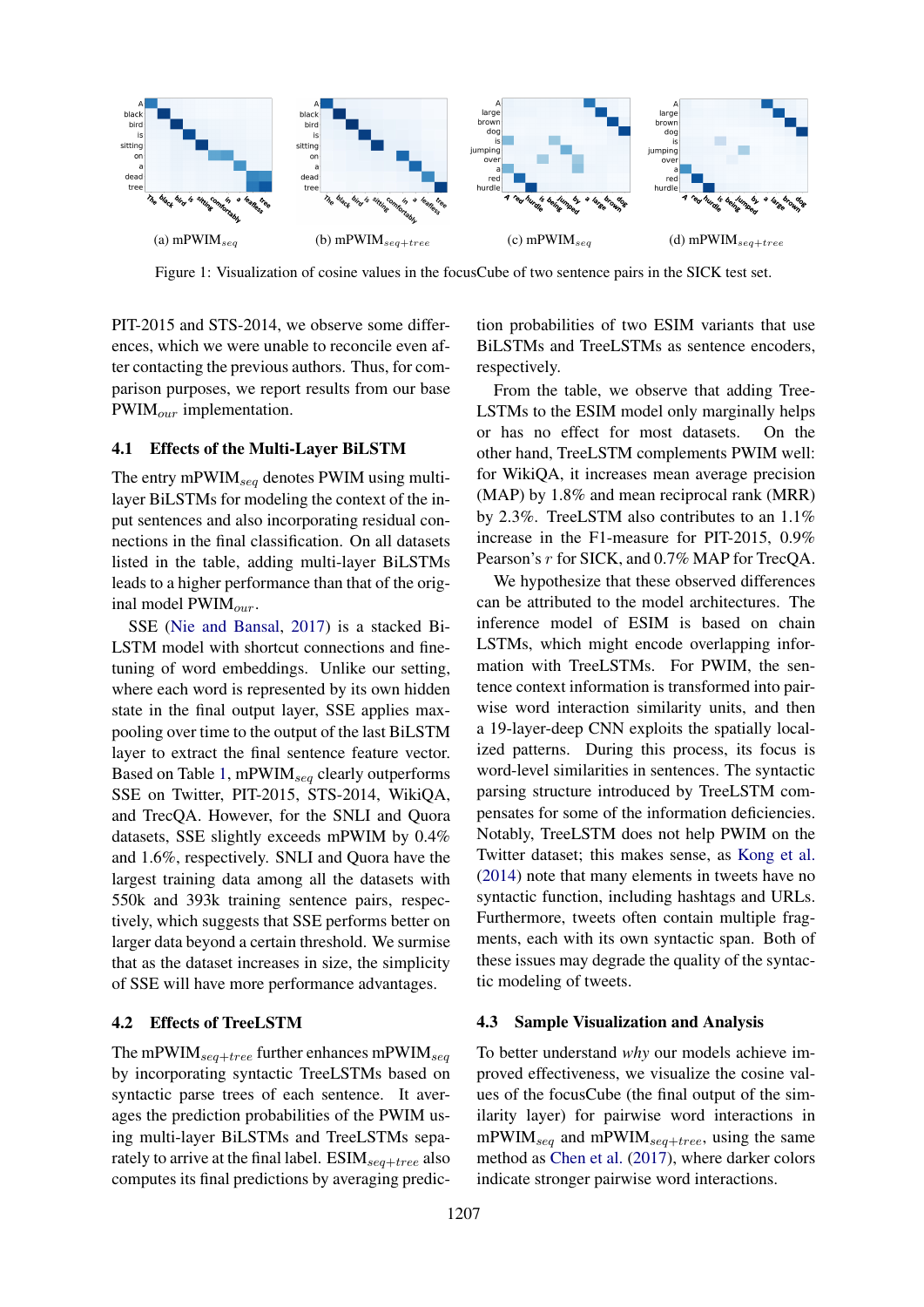<span id="page-3-0"></span>

Figure 1: Visualization of cosine values in the focusCube of two sentence pairs in the SICK test set.

PIT-2015 and STS-2014, we observe some differences, which we were unable to reconcile even after contacting the previous authors. Thus, for comparison purposes, we report results from our base  $PWIM_{our}$  implementation.

#### 4.1 Effects of the Multi-Layer BiLSTM

The entry mPWIM $_{seq}$  denotes PWIM using multilayer BiLSTMs for modeling the context of the input sentences and also incorporating residual connections in the final classification. On all datasets listed in the table, adding multi-layer BiLSTMs leads to a higher performance than that of the original model  $PWIM_{our}$ .

SSE [\(Nie and Bansal,](#page-5-10) [2017\)](#page-5-10) is a stacked Bi-LSTM model with shortcut connections and finetuning of word embeddings. Unlike our setting, where each word is represented by its own hidden state in the final output layer, SSE applies maxpooling over time to the output of the last BiLSTM layer to extract the final sentence feature vector. Based on Table [1,](#page-2-0)  $m$ PWIM<sub>seq</sub> clearly outperforms SSE on Twitter, PIT-2015, STS-2014, WikiQA, and TrecQA. However, for the SNLI and Quora datasets, SSE slightly exceeds mPWIM by 0.4% and 1.6%, respectively. SNLI and Quora have the largest training data among all the datasets with 550k and 393k training sentence pairs, respectively, which suggests that SSE performs better on larger data beyond a certain threshold. We surmise that as the dataset increases in size, the simplicity of SSE will have more performance advantages.

#### 4.2 Effects of TreeLSTM

The mPWIM<sub>seq+tree</sub> further enhances mPWIM<sub>seq</sub> by incorporating syntactic TreeLSTMs based on syntactic parse trees of each sentence. It averages the prediction probabilities of the PWIM using multi-layer BiLSTMs and TreeLSTMs separately to arrive at the final label.  $ESIM_{seq+tree}$  also computes its final predictions by averaging prediction probabilities of two ESIM variants that use BiLSTMs and TreeLSTMs as sentence encoders, respectively.

From the table, we observe that adding Tree-LSTMs to the ESIM model only marginally helps or has no effect for most datasets. On the other hand, TreeLSTM complements PWIM well: for WikiQA, it increases mean average precision (MAP) by 1.8% and mean reciprocal rank (MRR) by 2.3%. TreeLSTM also contributes to an 1.1% increase in the F1-measure for PIT-2015, 0.9% Pearson's r for SICK, and 0.7% MAP for TrecQA.

We hypothesize that these observed differences can be attributed to the model architectures. The inference model of ESIM is based on chain LSTMs, which might encode overlapping information with TreeLSTMs. For PWIM, the sentence context information is transformed into pairwise word interaction similarity units, and then a 19-layer-deep CNN exploits the spatially localized patterns. During this process, its focus is word-level similarities in sentences. The syntactic parsing structure introduced by TreeLSTM compensates for some of the information deficiencies. Notably, TreeLSTM does not help PWIM on the Twitter dataset; this makes sense, as [Kong et al.](#page-4-11) [\(2014\)](#page-4-11) note that many elements in tweets have no syntactic function, including hashtags and URLs. Furthermore, tweets often contain multiple fragments, each with its own syntactic span. Both of these issues may degrade the quality of the syntactic modeling of tweets.

#### 4.3 Sample Visualization and Analysis

To better understand *why* our models achieve improved effectiveness, we visualize the cosine values of the focusCube (the final output of the similarity layer) for pairwise word interactions in mPWIM<sub>seq</sub> and mPWIM<sub>seq+tree</sub>, using the same method as [Chen et al.](#page-4-2) [\(2017\)](#page-4-2), where darker colors indicate stronger pairwise word interactions.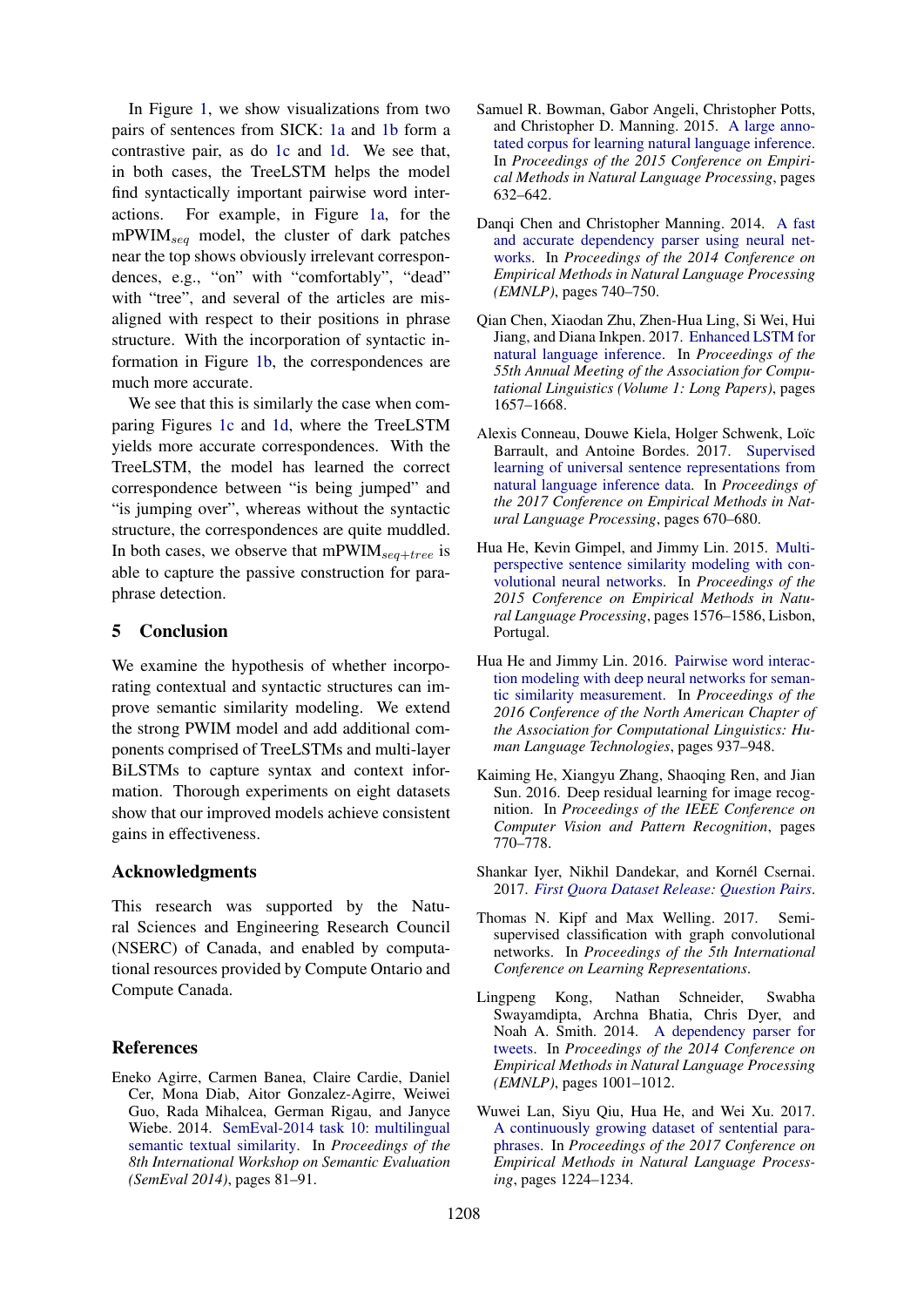In Figure [1,](#page-3-0) we show visualizations from two pairs of sentences from SICK: [1a](#page-3-0) and [1b](#page-3-0) form a contrastive pair, as do [1c](#page-3-0) and [1d.](#page-3-0) We see that, in both cases, the TreeLSTM helps the model find syntactically important pairwise word interactions. For example, in Figure [1a,](#page-3-0) for the  $m$ PWIM $_{seq}$  model, the cluster of dark patches near the top shows obviously irrelevant correspondences, e.g., "on" with "comfortably", "dead" with "tree", and several of the articles are misaligned with respect to their positions in phrase structure. With the incorporation of syntactic information in Figure [1b,](#page-3-0) the correspondences are much more accurate.

We see that this is similarly the case when comparing Figures [1c](#page-3-0) and [1d,](#page-3-0) where the TreeLSTM yields more accurate correspondences. With the TreeLSTM, the model has learned the correct correspondence between "is being jumped" and "is jumping over", whereas without the syntactic structure, the correspondences are quite muddled. In both cases, we observe that mPWIM<sub>seq+tree</sub> is able to capture the passive construction for paraphrase detection.

## 5 Conclusion

We examine the hypothesis of whether incorporating contextual and syntactic structures can improve semantic similarity modeling. We extend the strong PWIM model and add additional components comprised of TreeLSTMs and multi-layer BiLSTMs to capture syntax and context information. Thorough experiments on eight datasets show that our improved models achieve consistent gains in effectiveness.

## Acknowledgments

This research was supported by the Natural Sciences and Engineering Research Council (NSERC) of Canada, and enabled by computational resources provided by Compute Ontario and Compute Canada.

## References

<span id="page-4-10"></span>Eneko Agirre, Carmen Banea, Claire Cardie, Daniel Cer, Mona Diab, Aitor Gonzalez-Agirre, Weiwei Guo, Rada Mihalcea, German Rigau, and Janyce Wiebe. 2014. [SemEval-2014 task 10: multilingual](https://doi.org/10.3115/v1/S14-2010) [semantic textual similarity.](https://doi.org/10.3115/v1/S14-2010) In *Proceedings of the 8th International Workshop on Semantic Evaluation (SemEval 2014)*, pages 81–91.

- <span id="page-4-7"></span>Samuel R. Bowman, Gabor Angeli, Christopher Potts, and Christopher D. Manning. 2015. [A large anno](https://doi.org/10.18653/v1/D15-1075)[tated corpus for learning natural language inference.](https://doi.org/10.18653/v1/D15-1075) In *Proceedings of the 2015 Conference on Empirical Methods in Natural Language Processing*, pages 632–642.
- <span id="page-4-3"></span>Danqi Chen and Christopher Manning. 2014. [A fast](https://doi.org/10.3115/v1/D14-1082) [and accurate dependency parser using neural net](https://doi.org/10.3115/v1/D14-1082)[works.](https://doi.org/10.3115/v1/D14-1082) In *Proceedings of the 2014 Conference on Empirical Methods in Natural Language Processing (EMNLP)*, pages 740–750.
- <span id="page-4-2"></span>Qian Chen, Xiaodan Zhu, Zhen-Hua Ling, Si Wei, Hui Jiang, and Diana Inkpen. 2017. [Enhanced LSTM for](https://doi.org/10.18653/v1/P17-1152) [natural language inference.](https://doi.org/10.18653/v1/P17-1152) In *Proceedings of the 55th Annual Meeting of the Association for Computational Linguistics (Volume 1: Long Papers)*, pages 1657–1668.
- <span id="page-4-4"></span>Alexis Conneau, Douwe Kiela, Holger Schwenk, Loïc Barrault, and Antoine Bordes. 2017. [Supervised](https://doi.org/10.18653/v1/D17-1070) [learning of universal sentence representations from](https://doi.org/10.18653/v1/D17-1070) [natural language inference data.](https://doi.org/10.18653/v1/D17-1070) In *Proceedings of the 2017 Conference on Empirical Methods in Natural Language Processing*, pages 670–680.
- <span id="page-4-0"></span>Hua He, Kevin Gimpel, and Jimmy Lin. 2015. [Multi](https://doi.org/10.18653/v1/D15-1181)[perspective sentence similarity modeling with con](https://doi.org/10.18653/v1/D15-1181)[volutional neural networks.](https://doi.org/10.18653/v1/D15-1181) In *Proceedings of the 2015 Conference on Empirical Methods in Natural Language Processing*, pages 1576–1586, Lisbon, Portugal.
- <span id="page-4-1"></span>Hua He and Jimmy Lin. 2016. [Pairwise word interac](https://doi.org/10.18653/v1/N16-1108)[tion modeling with deep neural networks for seman](https://doi.org/10.18653/v1/N16-1108)[tic similarity measurement.](https://doi.org/10.18653/v1/N16-1108) In *Proceedings of the 2016 Conference of the North American Chapter of the Association for Computational Linguistics: Human Language Technologies*, pages 937–948.
- <span id="page-4-6"></span>Kaiming He, Xiangyu Zhang, Shaoqing Ren, and Jian Sun. 2016. Deep residual learning for image recognition. In *Proceedings of the IEEE Conference on Computer Vision and Pattern Recognition*, pages 770–778.
- <span id="page-4-8"></span>Shankar Iyer, Nikhil Dandekar, and Kornél Csernai. 2017. *[First Quora Dataset Release: Question Pairs](https://data.quora.com/First-Quora-Dataset-Release-Question-Pairs)*.
- <span id="page-4-5"></span>Thomas N. Kipf and Max Welling. 2017. Semisupervised classification with graph convolutional networks. In *Proceedings of the 5th International Conference on Learning Representations*.
- <span id="page-4-11"></span>Lingpeng Kong, Nathan Schneider, Swabha Swayamdipta, Archna Bhatia, Chris Dyer, and Noah A. Smith. 2014. [A dependency parser for](https://doi.org/10.3115/v1/D14-1108) [tweets.](https://doi.org/10.3115/v1/D14-1108) In *Proceedings of the 2014 Conference on Empirical Methods in Natural Language Processing (EMNLP)*, pages 1001–1012.
- <span id="page-4-9"></span>Wuwei Lan, Siyu Qiu, Hua He, and Wei Xu. 2017. [A continuously growing dataset of sentential para](https://doi.org/10.18653/v1/D17-1126)[phrases.](https://doi.org/10.18653/v1/D17-1126) In *Proceedings of the 2017 Conference on Empirical Methods in Natural Language Processing*, pages 1224–1234.